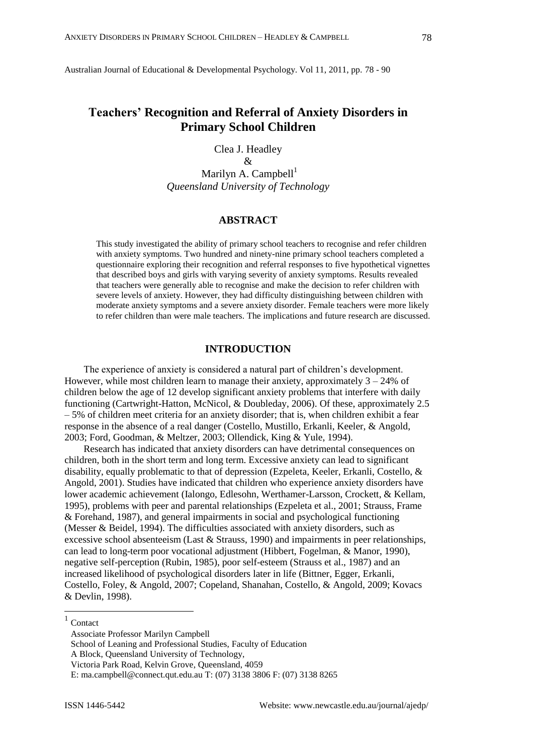Australian Journal of Educational & Developmental Psychology. Vol 11, 2011, pp. 78 - 90

# **Teachers' Recognition and Referral of Anxiety Disorders in Primary School Children**

Clea J. Headley

&

Marilyn A. Campbell $<sup>1</sup>$ </sup> *Queensland University of Technology*

## **ABSTRACT**

This study investigated the ability of primary school teachers to recognise and refer children with anxiety symptoms. Two hundred and ninety-nine primary school teachers completed a questionnaire exploring their recognition and referral responses to five hypothetical vignettes that described boys and girls with varying severity of anxiety symptoms. Results revealed that teachers were generally able to recognise and make the decision to refer children with severe levels of anxiety. However, they had difficulty distinguishing between children with moderate anxiety symptoms and a severe anxiety disorder. Female teachers were more likely to refer children than were male teachers. The implications and future research are discussed.

## **INTRODUCTION**

The experience of anxiety is considered a natural part of children"s development. However, while most children learn to manage their anxiety, approximately  $3 - 24\%$  of children below the age of 12 develop significant anxiety problems that interfere with daily functioning (Cartwright-Hatton, McNicol, & Doubleday, 2006). Of these, approximately 2.5 – 5% of children meet criteria for an anxiety disorder; that is, when children exhibit a fear response in the absence of a real danger (Costello, Mustillo, Erkanli, Keeler, & Angold, 2003; Ford, Goodman, & Meltzer, 2003; Ollendick, King & Yule, 1994).

Research has indicated that anxiety disorders can have detrimental consequences on children, both in the short term and long term. Excessive anxiety can lead to significant disability, equally problematic to that of depression (Ezpeleta, Keeler, Erkanli, Costello, & Angold, 2001). Studies have indicated that children who experience anxiety disorders have lower academic achievement (Ialongo, Edlesohn, Werthamer-Larsson, Crockett, & Kellam, 1995), problems with peer and parental relationships (Ezpeleta et al., 2001; Strauss, Frame & Forehand, 1987), and general impairments in social and psychological functioning (Messer & Beidel, 1994). The difficulties associated with anxiety disorders, such as excessive school absenteeism (Last  $&$  Strauss, 1990) and impairments in peer relationships, can lead to long-term poor vocational adjustment (Hibbert, Fogelman, & Manor, 1990), negative self-perception (Rubin, 1985), poor self-esteem (Strauss et al., 1987) and an increased likelihood of psychological disorders later in life (Bittner, Egger, Erkanli, Costello, Foley, & Angold, 2007; Copeland, Shanahan, Costello, & Angold, 2009; Kovacs & Devlin, 1998).

 $\overline{a}$ 

<sup>1</sup> Contact

Associate Professor Marilyn Campbell

School of Leaning and Professional Studies, Faculty of Education

A Block, Queensland University of Technology,

Victoria Park Road, Kelvin Grove, Queensland, 4059

E: [ma.campbell@connect.qut.edu.au](mailto:ma.campbell@connect.qut.edu.au) T: (07) 3138 3806 F: (07) 3138 8265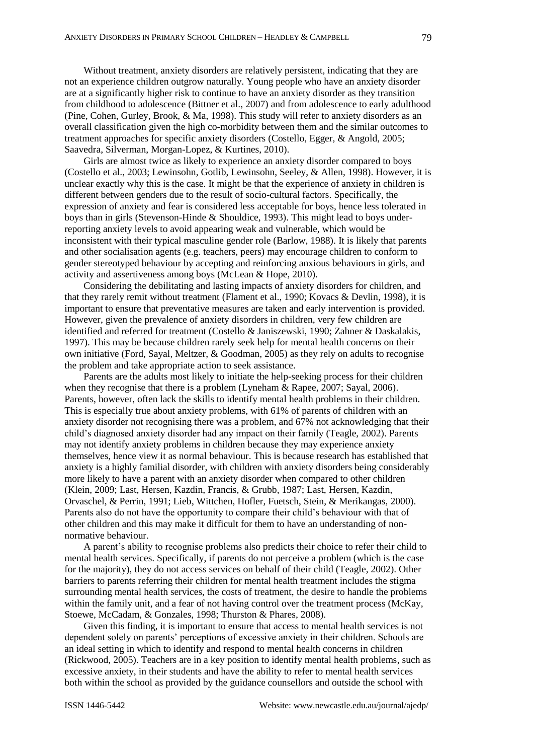Without treatment, anxiety disorders are relatively persistent, indicating that they are not an experience children outgrow naturally. Young people who have an anxiety disorder are at a significantly higher risk to continue to have an anxiety disorder as they transition from childhood to adolescence (Bittner et al., 2007) and from adolescence to early adulthood (Pine, Cohen, Gurley, Brook, & Ma, 1998). This study will refer to anxiety disorders as an overall classification given the high co-morbidity between them and the similar outcomes to treatment approaches for specific anxiety disorders (Costello, Egger, & Angold, 2005; Saavedra, Silverman, Morgan-Lopez, & Kurtines, 2010).

Girls are almost twice as likely to experience an anxiety disorder compared to boys (Costello et al., 2003; Lewinsohn, Gotlib, Lewinsohn, Seeley, & Allen, 1998). However, it is unclear exactly why this is the case. It might be that the experience of anxiety in children is different between genders due to the result of socio-cultural factors. Specifically, the expression of anxiety and fear is considered less acceptable for boys, hence less tolerated in boys than in girls (Stevenson-Hinde & Shouldice, 1993). This might lead to boys underreporting anxiety levels to avoid appearing weak and vulnerable, which would be inconsistent with their typical masculine gender role (Barlow, 1988). It is likely that parents and other socialisation agents (e.g. teachers, peers) may encourage children to conform to gender stereotyped behaviour by accepting and reinforcing anxious behaviours in girls, and activity and assertiveness among boys (McLean & Hope, 2010).

Considering the debilitating and lasting impacts of anxiety disorders for children, and that they rarely remit without treatment (Flament et al., 1990; Kovacs & Devlin, 1998), it is important to ensure that preventative measures are taken and early intervention is provided. However, given the prevalence of anxiety disorders in children, very few children are identified and referred for treatment (Costello & Janiszewski, 1990; Zahner & Daskalakis, 1997). This may be because children rarely seek help for mental health concerns on their own initiative (Ford, Sayal, Meltzer, & Goodman, 2005) as they rely on adults to recognise the problem and take appropriate action to seek assistance.

Parents are the adults most likely to initiate the help-seeking process for their children when they recognise that there is a problem (Lyneham & Rapee, 2007; Sayal, 2006). Parents, however, often lack the skills to identify mental health problems in their children. This is especially true about anxiety problems, with 61% of parents of children with an anxiety disorder not recognising there was a problem, and 67% not acknowledging that their child"s diagnosed anxiety disorder had any impact on their family (Teagle, 2002). Parents may not identify anxiety problems in children because they may experience anxiety themselves, hence view it as normal behaviour. This is because research has established that anxiety is a highly familial disorder, with children with anxiety disorders being considerably more likely to have a parent with an anxiety disorder when compared to other children (Klein, 2009; Last, Hersen, Kazdin, Francis, & Grubb, 1987; Last, Hersen, Kazdin, Orvaschel, & Perrin, 1991; Lieb, Wittchen, Hofler, Fuetsch, Stein, & Merikangas, 2000). Parents also do not have the opportunity to compare their child"s behaviour with that of other children and this may make it difficult for them to have an understanding of nonnormative behaviour.

A parent"s ability to recognise problems also predicts their choice to refer their child to mental health services. Specifically, if parents do not perceive a problem (which is the case for the majority), they do not access services on behalf of their child (Teagle, 2002). Other barriers to parents referring their children for mental health treatment includes the stigma surrounding mental health services, the costs of treatment, the desire to handle the problems within the family unit, and a fear of not having control over the treatment process (McKay, Stoewe, McCadam, & Gonzales, 1998; Thurston & Phares, 2008).

Given this finding, it is important to ensure that access to mental health services is not dependent solely on parents" perceptions of excessive anxiety in their children. Schools are an ideal setting in which to identify and respond to mental health concerns in children (Rickwood, 2005). Teachers are in a key position to identify mental health problems, such as excessive anxiety, in their students and have the ability to refer to mental health services both within the school as provided by the guidance counsellors and outside the school with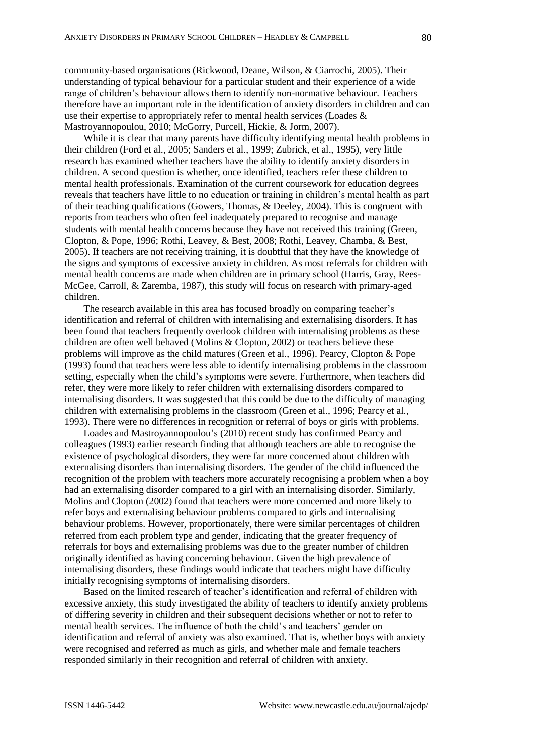community-based organisations (Rickwood, Deane, Wilson, & Ciarrochi, 2005). Their understanding of typical behaviour for a particular student and their experience of a wide range of children"s behaviour allows them to identify non-normative behaviour. Teachers therefore have an important role in the identification of anxiety disorders in children and can use their expertise to appropriately refer to mental health services (Loades & Mastroyannopoulou, 2010; McGorry, Purcell, Hickie, & Jorm, 2007).

While it is clear that many parents have difficulty identifying mental health problems in their children (Ford et al., 2005; Sanders et al., 1999; Zubrick, et al., 1995), very little research has examined whether teachers have the ability to identify anxiety disorders in children. A second question is whether, once identified, teachers refer these children to mental health professionals. Examination of the current coursework for education degrees reveals that teachers have little to no education or training in children"s mental health as part of their teaching qualifications (Gowers, Thomas, & Deeley, 2004). This is congruent with reports from teachers who often feel inadequately prepared to recognise and manage students with mental health concerns because they have not received this training (Green, Clopton, & Pope, 1996; Rothi, Leavey, & Best, 2008; Rothi, Leavey, Chamba, & Best, 2005). If teachers are not receiving training, it is doubtful that they have the knowledge of the signs and symptoms of excessive anxiety in children. As most referrals for children with mental health concerns are made when children are in primary school (Harris, Gray, Rees-McGee, Carroll, & Zaremba, 1987), this study will focus on research with primary-aged children.

The research available in this area has focused broadly on comparing teacher's identification and referral of children with internalising and externalising disorders. It has been found that teachers frequently overlook children with internalising problems as these children are often well behaved (Molins  $& Clopton, 2002$ ) or teachers believe these problems will improve as the child matures (Green et al., 1996). Pearcy, Clopton & Pope (1993) found that teachers were less able to identify internalising problems in the classroom setting, especially when the child"s symptoms were severe. Furthermore, when teachers did refer, they were more likely to refer children with externalising disorders compared to internalising disorders. It was suggested that this could be due to the difficulty of managing children with externalising problems in the classroom (Green et al., 1996; Pearcy et al., 1993). There were no differences in recognition or referral of boys or girls with problems.

Loades and Mastroyannopoulou"s (2010) recent study has confirmed Pearcy and colleagues (1993) earlier research finding that although teachers are able to recognise the existence of psychological disorders, they were far more concerned about children with externalising disorders than internalising disorders. The gender of the child influenced the recognition of the problem with teachers more accurately recognising a problem when a boy had an externalising disorder compared to a girl with an internalising disorder. Similarly, Molins and Clopton (2002) found that teachers were more concerned and more likely to refer boys and externalising behaviour problems compared to girls and internalising behaviour problems. However, proportionately, there were similar percentages of children referred from each problem type and gender, indicating that the greater frequency of referrals for boys and externalising problems was due to the greater number of children originally identified as having concerning behaviour. Given the high prevalence of internalising disorders, these findings would indicate that teachers might have difficulty initially recognising symptoms of internalising disorders.

Based on the limited research of teacher"s identification and referral of children with excessive anxiety, this study investigated the ability of teachers to identify anxiety problems of differing severity in children and their subsequent decisions whether or not to refer to mental health services. The influence of both the child"s and teachers" gender on identification and referral of anxiety was also examined. That is, whether boys with anxiety were recognised and referred as much as girls, and whether male and female teachers responded similarly in their recognition and referral of children with anxiety.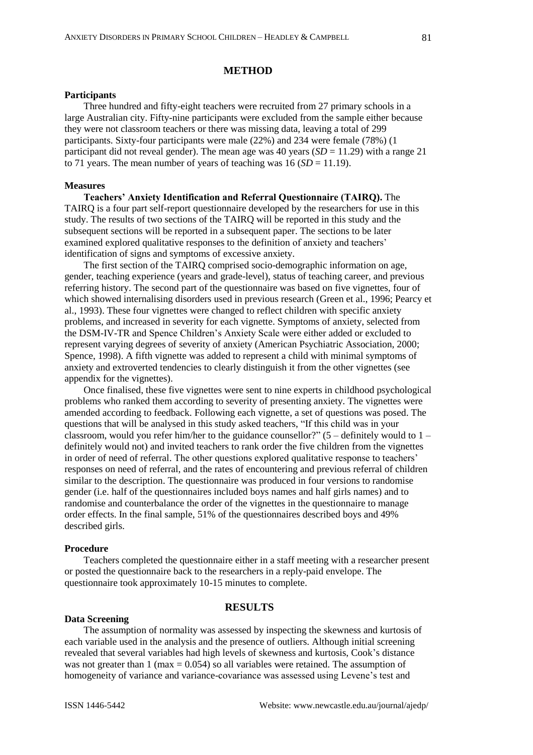#### **METHOD**

#### **Participants**

Three hundred and fifty-eight teachers were recruited from 27 primary schools in a large Australian city. Fifty-nine participants were excluded from the sample either because they were not classroom teachers or there was missing data, leaving a total of 299 participants. Sixty-four participants were male (22%) and 234 were female (78%) (1 participant did not reveal gender). The mean age was  $40$  years (*SD* = 11.29) with a range 21 to 71 years. The mean number of years of teaching was  $16 (SD = 11.19)$ .

#### **Measures**

**Teachers' Anxiety Identification and Referral Questionnaire (TAIRQ).** The TAIRQ is a four part self-report questionnaire developed by the researchers for use in this study. The results of two sections of the TAIRQ will be reported in this study and the subsequent sections will be reported in a subsequent paper. The sections to be later examined explored qualitative responses to the definition of anxiety and teachers' identification of signs and symptoms of excessive anxiety.

The first section of the TAIRQ comprised socio-demographic information on age, gender, teaching experience (years and grade-level), status of teaching career, and previous referring history. The second part of the questionnaire was based on five vignettes, four of which showed internalising disorders used in previous research (Green et al., 1996; Pearcy et al., 1993). These four vignettes were changed to reflect children with specific anxiety problems, and increased in severity for each vignette. Symptoms of anxiety, selected from the DSM-IV-TR and Spence Children"s Anxiety Scale were either added or excluded to represent varying degrees of severity of anxiety (American Psychiatric Association, 2000; Spence, 1998). A fifth vignette was added to represent a child with minimal symptoms of anxiety and extroverted tendencies to clearly distinguish it from the other vignettes (see appendix for the vignettes).

Once finalised, these five vignettes were sent to nine experts in childhood psychological problems who ranked them according to severity of presenting anxiety. The vignettes were amended according to feedback. Following each vignette, a set of questions was posed. The questions that will be analysed in this study asked teachers, "If this child was in your classroom, would you refer him/her to the guidance counsellor?"  $(5 -$  definitely would to  $1$ definitely would not) and invited teachers to rank order the five children from the vignettes in order of need of referral. The other questions explored qualitative response to teachers' responses on need of referral, and the rates of encountering and previous referral of children similar to the description. The questionnaire was produced in four versions to randomise gender (i.e. half of the questionnaires included boys names and half girls names) and to randomise and counterbalance the order of the vignettes in the questionnaire to manage order effects. In the final sample, 51% of the questionnaires described boys and 49% described girls.

#### **Procedure**

Teachers completed the questionnaire either in a staff meeting with a researcher present or posted the questionnaire back to the researchers in a reply-paid envelope. The questionnaire took approximately 10-15 minutes to complete.

## **RESULTS**

#### **Data Screening**

The assumption of normality was assessed by inspecting the skewness and kurtosis of each variable used in the analysis and the presence of outliers. Although initial screening revealed that several variables had high levels of skewness and kurtosis, Cook"s distance was not greater than 1 (max  $= 0.054$ ) so all variables were retained. The assumption of homogeneity of variance and variance-covariance was assessed using Levene"s test and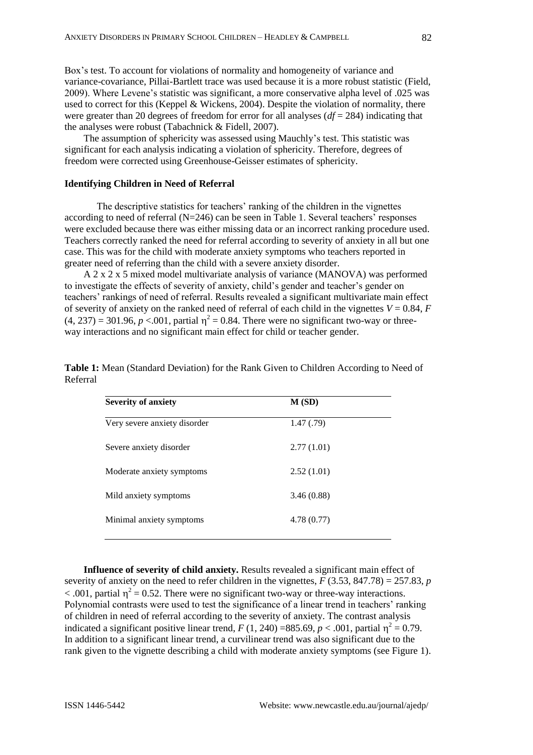Box"s test. To account for violations of normality and homogeneity of variance and variance-covariance, Pillai-Bartlett trace was used because it is a more robust statistic (Field, 2009). Where Levene"s statistic was significant, a more conservative alpha level of .025 was used to correct for this (Keppel & Wickens, 2004). Despite the violation of normality, there were greater than 20 degrees of freedom for error for all analyses (*df* = 284) indicating that the analyses were robust (Tabachnick & Fidell, 2007).

The assumption of sphericity was assessed using Mauchly"s test. This statistic was significant for each analysis indicating a violation of sphericity. Therefore, degrees of freedom were corrected using Greenhouse-Geisser estimates of sphericity.

#### **Identifying Children in Need of Referral**

The descriptive statistics for teachers' ranking of the children in the vignettes according to need of referral  $(N=246)$  can be seen in Table 1. Several teachers' responses were excluded because there was either missing data or an incorrect ranking procedure used. Teachers correctly ranked the need for referral according to severity of anxiety in all but one case. This was for the child with moderate anxiety symptoms who teachers reported in greater need of referring than the child with a severe anxiety disorder.

A 2 x 2 x 5 mixed model multivariate analysis of variance (MANOVA) was performed to investigate the effects of severity of anxiety, child"s gender and teacher"s gender on teachers" rankings of need of referral. Results revealed a significant multivariate main effect of severity of anxiety on the ranked need of referral of each child in the vignettes  $V = 0.84$ ,  $F = 0.84$  $(4, 237) = 301.96$ ,  $p < 0.01$ , partial  $\eta^2 = 0.84$ . There were no significant two-way or threeway interactions and no significant main effect for child or teacher gender.

| <b>Severity of anxiety</b>   | M(SD)      |  |
|------------------------------|------------|--|
| Very severe anxiety disorder | 1.47(0.79) |  |
| Severe anxiety disorder      | 2.77(1.01) |  |
| Moderate anxiety symptoms    | 2.52(1.01) |  |
| Mild anxiety symptoms        | 3.46(0.88) |  |
| Minimal anxiety symptoms     | 4.78(0.77) |  |
|                              |            |  |

**Table 1:** Mean (Standard Deviation) for the Rank Given to Children According to Need of Referral

**Influence of severity of child anxiety.** Results revealed a significant main effect of severity of anxiety on the need to refer children in the vignettes,  $F(3.53, 847.78) = 257.83$ , *p* < .001, partial  $\eta^2 = 0.52$ . There were no significant two-way or three-way interactions. Polynomial contrasts were used to test the significance of a linear trend in teachers' ranking of children in need of referral according to the severity of anxiety. The contrast analysis indicated a significant positive linear trend,  $F(1, 240) = 885.69, p < .001$ , partial  $\eta^2 = 0.79$ . In addition to a significant linear trend, a curvilinear trend was also significant due to the rank given to the vignette describing a child with moderate anxiety symptoms (see Figure 1).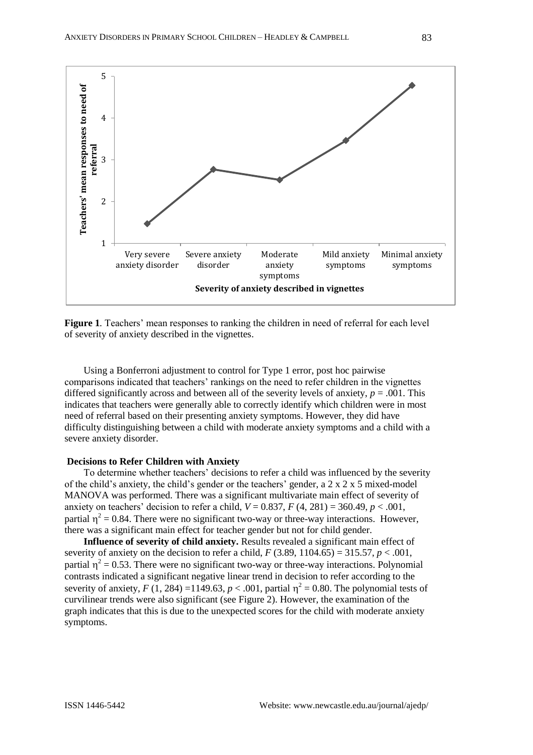

**Figure 1***.* Teachers" mean responses to ranking the children in need of referral for each level of severity of anxiety described in the vignettes.

Using a Bonferroni adjustment to control for Type 1 error, post hoc pairwise comparisons indicated that teachers" rankings on the need to refer children in the vignettes differed significantly across and between all of the severity levels of anxiety, *p* = .001. This indicates that teachers were generally able to correctly identify which children were in most need of referral based on their presenting anxiety symptoms. However, they did have difficulty distinguishing between a child with moderate anxiety symptoms and a child with a severe anxiety disorder.

#### **Decisions to Refer Children with Anxiety**

To determine whether teachers" decisions to refer a child was influenced by the severity of the child's anxiety, the child's gender or the teachers' gender, a  $2 \times 2 \times 5$  mixed-model MANOVA was performed. There was a significant multivariate main effect of severity of anxiety on teachers' decision to refer a child,  $V = 0.837$ ,  $F(4, 281) = 360.49$ ,  $p < .001$ , partial  $\eta^2 = 0.84$ . There were no significant two-way or three-way interactions. However, there was a significant main effect for teacher gender but not for child gender.

**Influence of severity of child anxiety.** Results revealed a significant main effect of severity of anxiety on the decision to refer a child,  $F(3.89, 1104.65) = 315.57$ ,  $p < .001$ , partial  $\eta^2 = 0.53$ . There were no significant two-way or three-way interactions. Polynomial contrasts indicated a significant negative linear trend in decision to refer according to the severity of anxiety,  $F(1, 284) = 1149.63$ ,  $p < .001$ , partial  $\eta^2 = 0.80$ . The polynomial tests of curvilinear trends were also significant (see Figure 2). However, the examination of the graph indicates that this is due to the unexpected scores for the child with moderate anxiety symptoms.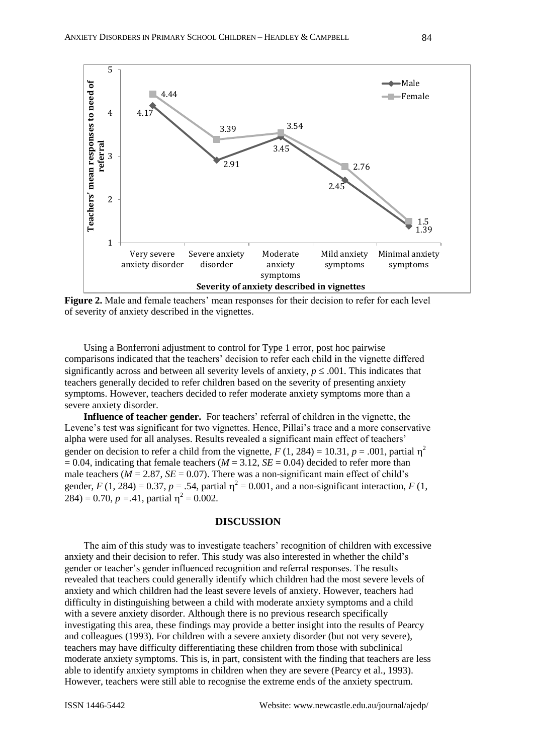

**Figure 2.** Male and female teachers' mean responses for their decision to refer for each level of severity of anxiety described in the vignettes.

Using a Bonferroni adjustment to control for Type 1 error, post hoc pairwise comparisons indicated that the teachers" decision to refer each child in the vignette differed significantly across and between all severity levels of anxiety,  $p \leq .001$ . This indicates that teachers generally decided to refer children based on the severity of presenting anxiety symptoms. However, teachers decided to refer moderate anxiety symptoms more than a severe anxiety disorder.

**Influence of teacher gender.** For teachers' referral of children in the vignette, the Levene's test was significant for two vignettes. Hence, Pillai's trace and a more conservative alpha were used for all analyses. Results revealed a significant main effect of teachers" gender on decision to refer a child from the vignette,  $F(1, 284) = 10.31$ ,  $p = .001$ , partial  $\eta^2$  $= 0.04$ , indicating that female teachers ( $M = 3.12$ ,  $SE = 0.04$ ) decided to refer more than male teachers ( $M = 2.87$ ,  $SE = 0.07$ ). There was a non-significant main effect of child's gender,  $F(1, 284) = 0.37$ ,  $p = .54$ , partial  $\eta^2 = 0.001$ , and a non-significant interaction,  $F(1, 1)$  $284$ ) = 0.70, *p* = 41, partial  $\eta^2$  = 0.002.

#### **DISCUSSION**

The aim of this study was to investigate teachers" recognition of children with excessive anxiety and their decision to refer. This study was also interested in whether the child"s gender or teacher"s gender influenced recognition and referral responses. The results revealed that teachers could generally identify which children had the most severe levels of anxiety and which children had the least severe levels of anxiety. However, teachers had difficulty in distinguishing between a child with moderate anxiety symptoms and a child with a severe anxiety disorder. Although there is no previous research specifically investigating this area, these findings may provide a better insight into the results of Pearcy and colleagues (1993). For children with a severe anxiety disorder (but not very severe), teachers may have difficulty differentiating these children from those with subclinical moderate anxiety symptoms. This is, in part, consistent with the finding that teachers are less able to identify anxiety symptoms in children when they are severe (Pearcy et al., 1993). However, teachers were still able to recognise the extreme ends of the anxiety spectrum.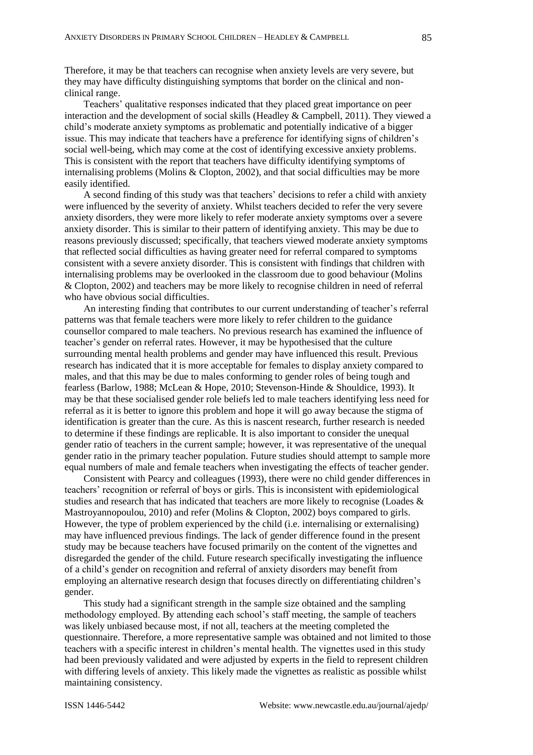Therefore, it may be that teachers can recognise when anxiety levels are very severe, but they may have difficulty distinguishing symptoms that border on the clinical and nonclinical range.

Teachers" qualitative responses indicated that they placed great importance on peer interaction and the development of social skills (Headley & Campbell, 2011). They viewed a child"s moderate anxiety symptoms as problematic and potentially indicative of a bigger issue. This may indicate that teachers have a preference for identifying signs of children"s social well-being, which may come at the cost of identifying excessive anxiety problems. This is consistent with the report that teachers have difficulty identifying symptoms of internalising problems (Molins & Clopton, 2002), and that social difficulties may be more easily identified.

A second finding of this study was that teachers" decisions to refer a child with anxiety were influenced by the severity of anxiety. Whilst teachers decided to refer the very severe anxiety disorders, they were more likely to refer moderate anxiety symptoms over a severe anxiety disorder. This is similar to their pattern of identifying anxiety. This may be due to reasons previously discussed; specifically, that teachers viewed moderate anxiety symptoms that reflected social difficulties as having greater need for referral compared to symptoms consistent with a severe anxiety disorder. This is consistent with findings that children with internalising problems may be overlooked in the classroom due to good behaviour (Molins & Clopton, 2002) and teachers may be more likely to recognise children in need of referral who have obvious social difficulties.

An interesting finding that contributes to our current understanding of teacher's referral patterns was that female teachers were more likely to refer children to the guidance counsellor compared to male teachers. No previous research has examined the influence of teacher"s gender on referral rates. However, it may be hypothesised that the culture surrounding mental health problems and gender may have influenced this result. Previous research has indicated that it is more acceptable for females to display anxiety compared to males, and that this may be due to males conforming to gender roles of being tough and fearless (Barlow, 1988; McLean & Hope, 2010; Stevenson-Hinde & Shouldice, 1993). It may be that these socialised gender role beliefs led to male teachers identifying less need for referral as it is better to ignore this problem and hope it will go away because the stigma of identification is greater than the cure. As this is nascent research, further research is needed to determine if these findings are replicable. It is also important to consider the unequal gender ratio of teachers in the current sample; however, it was representative of the unequal gender ratio in the primary teacher population. Future studies should attempt to sample more equal numbers of male and female teachers when investigating the effects of teacher gender.

Consistent with Pearcy and colleagues (1993), there were no child gender differences in teachers" recognition or referral of boys or girls. This is inconsistent with epidemiological studies and research that has indicated that teachers are more likely to recognise (Loades & Mastroyannopoulou, 2010) and refer (Molins & Clopton, 2002) boys compared to girls. However, the type of problem experienced by the child (i.e. internalising or externalising) may have influenced previous findings. The lack of gender difference found in the present study may be because teachers have focused primarily on the content of the vignettes and disregarded the gender of the child. Future research specifically investigating the influence of a child"s gender on recognition and referral of anxiety disorders may benefit from employing an alternative research design that focuses directly on differentiating children"s gender.

This study had a significant strength in the sample size obtained and the sampling methodology employed. By attending each school"s staff meeting, the sample of teachers was likely unbiased because most, if not all, teachers at the meeting completed the questionnaire. Therefore, a more representative sample was obtained and not limited to those teachers with a specific interest in children"s mental health. The vignettes used in this study had been previously validated and were adjusted by experts in the field to represent children with differing levels of anxiety. This likely made the vignettes as realistic as possible whilst maintaining consistency.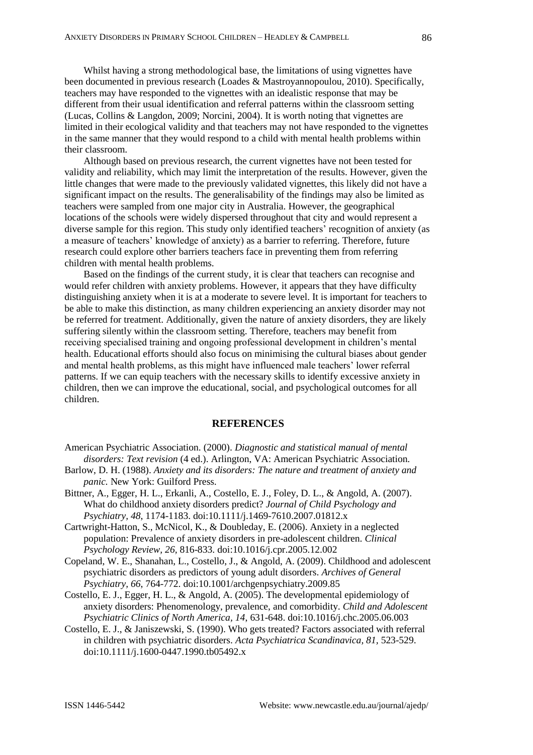Whilst having a strong methodological base, the limitations of using vignettes have been documented in previous research (Loades & Mastroyannopoulou, 2010). Specifically, teachers may have responded to the vignettes with an idealistic response that may be different from their usual identification and referral patterns within the classroom setting (Lucas, Collins & Langdon, 2009; Norcini, 2004). It is worth noting that vignettes are limited in their ecological validity and that teachers may not have responded to the vignettes in the same manner that they would respond to a child with mental health problems within their classroom.

Although based on previous research, the current vignettes have not been tested for validity and reliability, which may limit the interpretation of the results. However, given the little changes that were made to the previously validated vignettes, this likely did not have a significant impact on the results. The generalisability of the findings may also be limited as teachers were sampled from one major city in Australia. However, the geographical locations of the schools were widely dispersed throughout that city and would represent a diverse sample for this region. This study only identified teachers" recognition of anxiety (as a measure of teachers' knowledge of anxiety) as a barrier to referring. Therefore, future research could explore other barriers teachers face in preventing them from referring children with mental health problems.

Based on the findings of the current study, it is clear that teachers can recognise and would refer children with anxiety problems. However, it appears that they have difficulty distinguishing anxiety when it is at a moderate to severe level. It is important for teachers to be able to make this distinction, as many children experiencing an anxiety disorder may not be referred for treatment. Additionally, given the nature of anxiety disorders, they are likely suffering silently within the classroom setting. Therefore, teachers may benefit from receiving specialised training and ongoing professional development in children"s mental health. Educational efforts should also focus on minimising the cultural biases about gender and mental health problems, as this might have influenced male teachers" lower referral patterns. If we can equip teachers with the necessary skills to identify excessive anxiety in children, then we can improve the educational, social, and psychological outcomes for all children.

## **REFERENCES**

American Psychiatric Association. (2000). *Diagnostic and statistical manual of mental disorders: Text revision* (4 ed.). Arlington, VA: American Psychiatric Association.

- Barlow, D. H. (1988). *Anxiety and its disorders: The nature and treatment of anxiety and panic.* New York: Guilford Press.
- Bittner, A., Egger, H. L., Erkanli, A., Costello, E. J., Foley, D. L., & Angold, A. (2007). What do childhood anxiety disorders predict? *Journal of Child Psychology and Psychiatry, 48*, 1174-1183. doi:10.1111/j.1469-7610.2007.01812.x

Cartwright-Hatton, S., McNicol, K., & Doubleday, E. (2006). Anxiety in a neglected population: Prevalence of anxiety disorders in pre-adolescent children. *Clinical Psychology Review, 26,* 816-833. doi:10.1016/j.cpr.2005.12.002

- Copeland, W. E., Shanahan, L., Costello, J., & Angold, A. (2009). Childhood and adolescent psychiatric disorders as predictors of young adult disorders. *Archives of General Psychiatry, 66*, 764-772. doi:10.1001/archgenpsychiatry.2009.85
- Costello, E. J., Egger, H. L., & Angold, A. (2005). The developmental epidemiology of anxiety disorders: Phenomenology, prevalence, and comorbidity. *Child and Adolescent Psychiatric Clinics of North America, 14*, 631-648. doi:10.1016/j.chc.2005.06.003
- Costello, E. J., & Janiszewski, S. (1990). Who gets treated? Factors associated with referral in children with psychiatric disorders. *Acta Psychiatrica Scandinavica, 81,* 523-529. [doi:10.1111/j.1600-0447.1990.tb05492.x](http://dx.doi.org/10.1111%2Fj.1600-0447.1990.tb05492.x)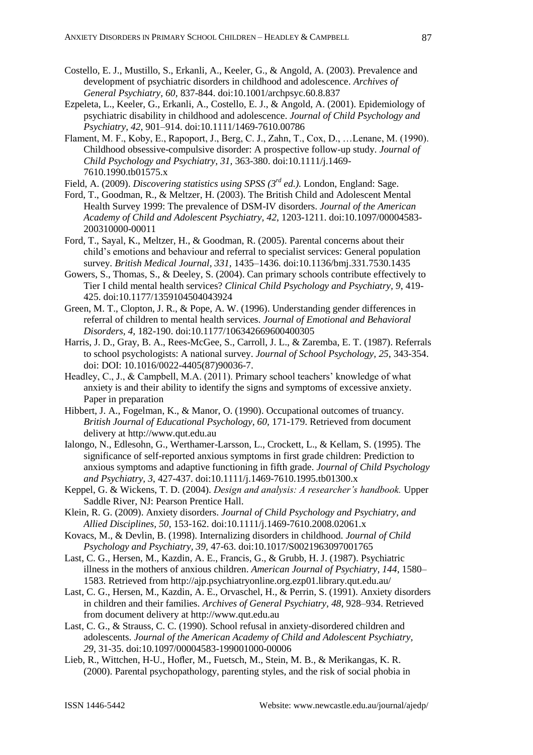- Costello, E. J., Mustillo, S., Erkanli, A., Keeler, G., & Angold, A. (2003). Prevalence and development of psychiatric disorders in childhood and adolescence. *Archives of General Psychiatry, 60,* 837-844. doi:10.1001/archpsyc.60.8.837
- Ezpeleta, L., Keeler, G., Erkanli, A., Costello, E. J., & Angold, A. (2001). Epidemiology of psychiatric disability in childhood and adolescence. *Journal of Child Psychology and Psychiatry, 42,* 901–914. doi:10.1111/1469-7610.00786
- Flament, M. F., Koby, E., Rapoport, J., Berg, C. J., Zahn, T., Cox, D., …Lenane, M. (1990). Childhood obsessive-compulsive disorder: A prospective follow-up study. *Journal of Child Psychology and Psychiatry, 31,* 363-380. doi:10.1111/j.1469- 7610.1990.tb01575.x

Field, A. (2009). *Discovering statistics using SPSS (3rd ed.).* London, England: Sage.

- Ford, T., Goodman, R., & Meltzer, H. (2003). The British Child and Adolescent Mental Health Survey 1999: The prevalence of DSM-IV disorders. *Journal of the American Academy of Child and Adolescent Psychiatry, 42*, 1203-1211. doi:10.1097/00004583- 200310000-00011
- Ford, T., Sayal, K., Meltzer, H., & Goodman, R. (2005). Parental concerns about their child"s emotions and behaviour and referral to specialist services: General population survey. *British Medical Journal, 331,* 1435–1436. doi:10.1136/bmj.331.7530.1435
- Gowers, S., Thomas, S., & Deeley, S. (2004). Can primary schools contribute effectively to Tier I child mental health services? *Clinical Child Psychology and Psychiatry, 9*, 419- 425. doi:10.1177/1359104504043924
- Green, M. T., Clopton, J. R., & Pope, A. W. (1996). Understanding gender differences in referral of children to mental health services. *Journal of Emotional and Behavioral Disorders, 4,* 182-190. doi:10.1177/106342669600400305
- Harris, J. D., Gray, B. A., Rees-McGee, S., Carroll, J. L., & Zaremba, E. T. (1987). Referrals to school psychologists: A national survey. *Journal of School Psychology, 25*, 343-354. doi: DOI: 10.1016/0022-4405(87)90036-7.
- Headley, C., J., & Campbell, M.A. (2011). Primary school teachers' knowledge of what anxiety is and their ability to identify the signs and symptoms of excessive anxiety. Paper in preparation
- Hibbert, J. A., Fogelman, K., & Manor, O. (1990). Occupational outcomes of truancy. *British Journal of Educational Psychology, 60,* 171-179. Retrieved from document delivery at http://www.qut.edu.au
- Ialongo, N., Edlesohn, G., Werthamer-Larsson, L., Crockett, L., & Kellam, S. (1995). The significance of self-reported anxious symptoms in first grade children: Prediction to anxious symptoms and adaptive functioning in fifth grade. *Journal of Child Psychology and Psychiatry, 3*, 427-437. doi:10.1111/j.1469-7610.1995.tb01300.x
- Keppel, G. & Wickens, T. D. (2004). *Design and analysis: A researcher's handbook.* Upper Saddle River, NJ: Pearson Prentice Hall.
- Klein, R. G. (2009). Anxiety disorders. *Journal of Child Psychology and Psychiatry, and Allied Disciplines, 50*, 153-162. doi:10.1111/j.1469-7610.2008.02061.x
- Kovacs, M., & Devlin, B. (1998). Internalizing disorders in childhood. *Journal of Child Psychology and Psychiatry, 39,* 47-63. doi:10.1017/S0021963097001765
- Last, C. G., Hersen, M., Kazdin, A. E., Francis, G., & Grubb, H. J. (1987). Psychiatric illness in the mothers of anxious children. *American Journal of Psychiatry, 144*, 1580– 1583. Retrieved from http://ajp.psychiatryonline.org.ezp01.library.qut.edu.au/
- Last, C. G., Hersen, M., Kazdin, A. E., Orvaschel, H., & Perrin, S. (1991). Anxiety disorders in children and their families. *Archives of General Psychiatry, 48*, 928–934. Retrieved from document delivery at http://www.qut.edu.au
- Last, C. G., & Strauss, C. C. (1990). School refusal in anxiety-disordered children and adolescents. *Journal of the American Academy of Child and Adolescent Psychiatry, 29*, 31-35. doi:10.1097/00004583-199001000-00006
- Lieb, R., Wittchen, H-U., Hofler, M., Fuetsch, M., Stein, M. B., & Merikangas, K. R. (2000). Parental psychopathology, parenting styles, and the risk of social phobia in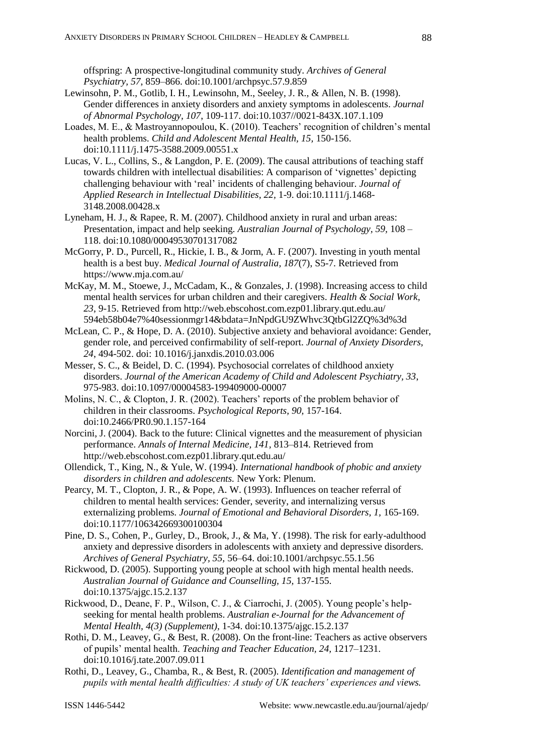offspring: A prospective-longitudinal community study. *Archives of General Psychiatry, 57*, 859–866. doi:10.1001/archpsyc.57.9.859

- Lewinsohn, P. M., Gotlib, I. H., Lewinsohn, M., Seeley, J. R., & Allen, N. B. (1998). Gender differences in anxiety disorders and anxiety symptoms in adolescents. *Journal of Abnormal Psychology, 107*, 109-117. doi:10.1037//0021-843X.107.1.109
- Loades, M. E., & Mastroyannopoulou, K. (2010). Teachers' recognition of children's mental health problems. *Child and Adolescent Mental Health, 15,* 150-156. doi:10.1111/j.1475-3588.2009.00551.x
- Lucas, V. L., Collins, S., & Langdon, P. E. (2009). The causal attributions of teaching staff towards children with intellectual disabilities: A comparison of "vignettes" depicting challenging behaviour with "real" incidents of challenging behaviour. *Journal of Applied Research in Intellectual Disabilities, 22,* 1-9. doi:10.1111/j.1468- 3148.2008.00428.x
- Lyneham, H. J., & Rapee, R. M. (2007). Childhood anxiety in rural and urban areas: Presentation, impact and help seeking. *Australian Journal of Psychology, 59,* 108 – 118. doi:10.1080/00049530701317082
- McGorry, P. D., Purcell, R., Hickie, I. B., & Jorm, A. F. (2007). Investing in youth mental health is a best buy. *Medical Journal of Australia, 187*(7), S5-7. Retrieved from https://www.mja.com.au/
- McKay, M. M., Stoewe, J., McCadam, K., & Gonzales, J. (1998). Increasing access to child mental health services for urban children and their caregivers. *Health & Social Work, 23*, 9-15. Retrieved from http://web.ebscohost.com.ezp01.library.qut.edu.au/ 594eb58b04e7%40sessionmgr14&bdata=JnNpdGU9ZWhvc3QtbGl2ZQ%3d%3d
- McLean, C. P., & Hope, D. A. (2010). Subjective anxiety and behavioral avoidance: Gender, gender role, and perceived confirmability of self-report. *Journal of Anxiety Disorders, 24*, 494-502. doi: 10.1016/j.janxdis.2010.03.006
- Messer, S. C., & Beidel, D. C. (1994). Psychosocial correlates of childhood anxiety disorders. *Journal of the American Academy of Child and Adolescent Psychiatry, 33*, 975-983. [doi:10.1097/00004583-199409000-00007](http://dx.doi.org/10.1097%2F00004583-199409000-00007)
- Molins, N. C., & Clopton, J. R. (2002). Teachers" reports of the problem behavior of children in their classrooms. *Psychological Reports, 90,* 157-164. doi:10.2466/PR0.90.1.157-164
- Norcini, J. (2004). Back to the future: Clinical vignettes and the measurement of physician performance. *Annals of Internal Medicine, 141,* 813–814. Retrieved from http://web.ebscohost.com.ezp01.library.qut.edu.au/
- Ollendick, T., King, N., & Yule, W. (1994). *International handbook of phobic and anxiety disorders in children and adolescents.* New York: Plenum.
- Pearcy, M. T., Clopton, J. R., & Pope, A. W. (1993). Influences on teacher referral of children to mental health services: Gender, severity, and internalizing versus externalizing problems. *Journal of Emotional and Behavioral Disorders, 1,* 165-169. doi:10.1177/106342669300100304
- Pine, D. S., Cohen, P., Gurley, D., Brook, J., & Ma, Y. (1998). The risk for early-adulthood anxiety and depressive disorders in adolescents with anxiety and depressive disorders. *Archives of General Psychiatry, 55,* 56–64. doi:10.1001/archpsyc.55.1.56
- Rickwood, D. (2005). Supporting young people at school with high mental health needs. *Australian Journal of Guidance and Counselling, 15,* 137-155. doi:10.1375/ajgc.15.2.137
- Rickwood, D., Deane, F. P., Wilson, C. J., & Ciarrochi, J. (2005). Young people"s helpseeking for mental health problems. *Australian e-Journal for the Advancement of Mental Health, 4(3) (Supplement),* 1-34. doi:10.1375/ajgc.15.2.137
- Rothi, D. M., Leavey, G., & Best, R. (2008). On the front-line: Teachers as active observers of pupils" mental health. *Teaching and Teacher Education, 24,* 1217–1231. doi:10.1016/j.tate.2007.09.011
- Rothi, D., Leavey, G., Chamba, R., & Best, R. (2005). *Identification and management of pupils with mental health difficulties: A study of UK teachers' experiences and views.*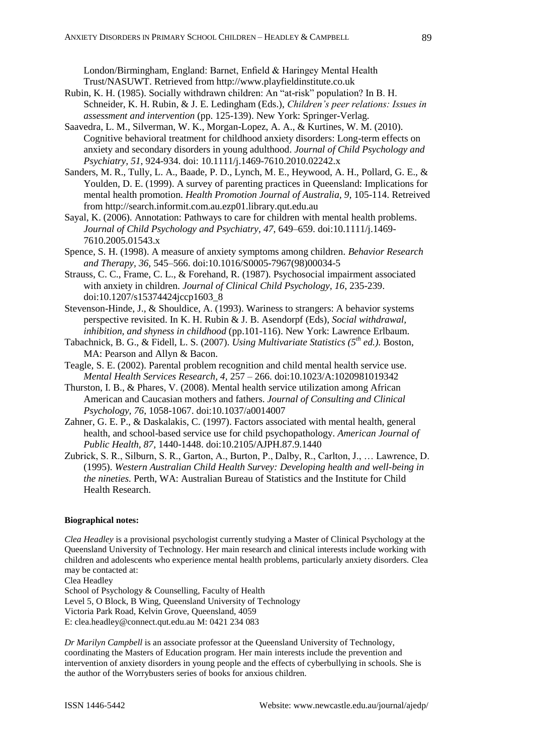London/Birmingham, England: Barnet, Enfield & Haringey Mental Health Trust/NASUWT. Retrieved from http://www.playfieldinstitute.co.uk

- Rubin, K. H. (1985). Socially withdrawn children: An "at-risk" population? In B. H. Schneider, K. H. Rubin, & J. E. Ledingham (Eds.), *Children's peer relations: Issues in assessment and intervention* (pp. 125-139). New York: Springer-Verlag.
- Saavedra, L. M., Silverman, W. K., Morgan-Lopez, A. A., & Kurtines, W. M. (2010). Cognitive behavioral treatment for childhood anxiety disorders: Long-term effects on anxiety and secondary disorders in young adulthood. *Journal of Child Psychology and Psychiatry, 51*, 924-934. doi: 10.1111/j.1469-7610.2010.02242.x
- Sanders, M. R., Tully, L. A., Baade, P. D., Lynch, M. E., Heywood, A. H., Pollard, G. E., & Youlden, D. E. (1999). A survey of parenting practices in Queensland: Implications for mental health promotion. *Health Promotion Journal of Australia, 9,* 105-114. Retreived from http://search.informit.com.au.ezp01.library.qut.edu.au
- Sayal, K. (2006). Annotation: Pathways to care for children with mental health problems. *Journal of Child Psychology and Psychiatry, 47*, 649–659. doi:10.1111/j.1469- 7610.2005.01543.x
- Spence, S. H. (1998). A measure of anxiety symptoms among children. *Behavior Research and Therapy, 36,* 545–566. doi:10.1016/S0005-7967(98)00034-5
- Strauss, C. C., Frame, C. L., & Forehand, R. (1987). Psychosocial impairment associated with anxiety in children. *Journal of Clinical Child Psychology, 16*, 235-239. doi:10.1207/s15374424jccp1603\_8
- Stevenson-Hinde, J., & Shouldice, A. (1993). Wariness to strangers: A behavior systems perspective revisited. In K. H. Rubin & J. B. Asendorpf (Eds), *Social withdrawal, inhibition, and shyness in childhood* (pp.101-116). New York: Lawrence Erlbaum.
- Tabachnick, B. G., & Fidell, L. S. (2007). *Using Multivariate Statistics (5th ed.).* Boston, MA: Pearson and Allyn & Bacon.
- Teagle, S. E. (2002). Parental problem recognition and child mental health service use. *Mental Health Services Research, 4,* 257 – 266. doi:10.1023/A:1020981019342
- Thurston, I. B., & Phares, V. (2008). Mental health service utilization among African American and Caucasian mothers and fathers. *Journal of Consulting and Clinical Psychology, 76*, 1058-1067. doi:10.1037/a0014007
- Zahner, G. E. P., & Daskalakis, C. (1997). Factors associated with mental health, general health, and school-based service use for child psychopathology. *American Journal of Public Health, 87,* 1440-1448. doi:10.2105/AJPH.87.9.1440
- Zubrick, S. R., Silburn, S. R., Garton, A., Burton, P., Dalby, R., Carlton, J., … Lawrence, D. (1995). *Western Australian Child Health Survey: Developing health and well-being in the nineties.* Perth, WA: Australian Bureau of Statistics and the Institute for Child Health Research.

## **Biographical notes:**

*Clea Headley* is a provisional psychologist currently studying a Master of Clinical Psychology at the Queensland University of Technology. Her main research and clinical interests include working with children and adolescents who experience mental health problems, particularly anxiety disorders. Clea may be contacted at:

Clea Headley

School of Psychology & Counselling, Faculty of Health Level 5, O Block, B Wing, Queensland University of Technology Victoria Park Road, Kelvin Grove, Queensland, 4059 E: [clea.headley@connect.qut.edu.au](mailto:clea.headley@connect.qut.edu.au) M: 0421 234 083

*Dr Marilyn Campbell* is an associate professor at the Queensland University of Technology, coordinating the Masters of Education program. Her main interests include the prevention and intervention of anxiety disorders in young people and the effects of cyberbullying in schools. She is the author of the Worrybusters series of books for anxious children.